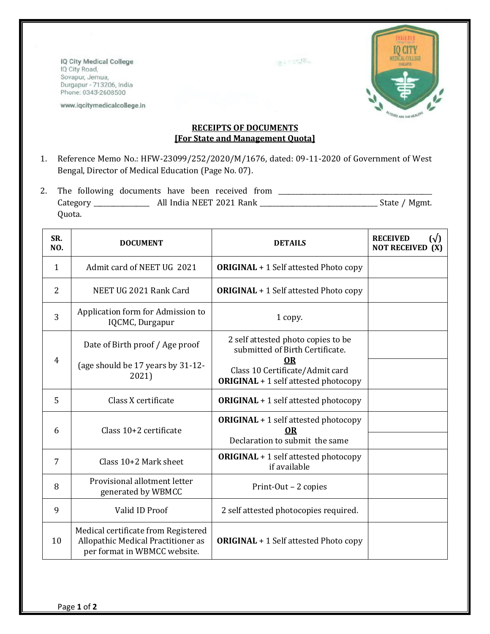**IQ City Medical College** IQ City Road, Sovapur, Jemua, Durgapur - 713206, India Phone: 0343-2608500

www.iqcitymedicalcollege.in





## **RECEIPTS OF DOCUMENTS [For State and Management Quota]**

- 1. Reference Memo No.: HFW-23099/252/2020/M/1676, dated: 09-11-2020 of Government of West Bengal, Director of Medical Education (Page No. 07).
- 2. The following documents have been received from \_\_\_\_\_\_\_\_\_\_\_\_\_\_\_\_\_\_\_\_\_\_\_\_\_\_\_\_\_ Category \_\_\_\_\_\_\_\_\_\_\_\_\_\_\_\_\_ All India NEET 2021 Rank \_\_\_\_\_\_\_\_\_\_\_\_\_\_\_\_\_\_\_\_\_\_\_\_\_\_\_\_\_\_\_\_\_\_\_\_ State / Mgmt. Quota.

| SR.<br>NO.     | <b>DOCUMENT</b>                                                                                           | <b>DETAILS</b>                                                                              | $(\sqrt{)}$<br><b>RECEIVED</b><br><b>NOT RECEIVED (X)</b> |
|----------------|-----------------------------------------------------------------------------------------------------------|---------------------------------------------------------------------------------------------|-----------------------------------------------------------|
| $\mathbf{1}$   | Admit card of NEET UG 2021                                                                                | <b>ORIGINAL + 1 Self attested Photo copy</b>                                                |                                                           |
| $\overline{2}$ | NEET UG 2021 Rank Card                                                                                    | <b>ORIGINAL</b> + 1 Self attested Photo copy                                                |                                                           |
| 3              | Application form for Admission to<br>IQCMC, Durgapur                                                      | 1 copy.                                                                                     |                                                           |
| 4              | Date of Birth proof / Age proof                                                                           | 2 self attested photo copies to be<br>submitted of Birth Certificate.                       |                                                           |
|                | (age should be 17 years by 31-12-<br>2021)                                                                | <b>OR</b><br>Class 10 Certificate/Admit card<br><b>ORIGINAL</b> + 1 self attested photocopy |                                                           |
| 5              | Class X certificate                                                                                       | <b>ORIGINAL</b> + 1 self attested photocopy                                                 |                                                           |
| 6              | Class $10+2$ certificate                                                                                  | <b>ORIGINAL</b> + 1 self attested photocopy<br>OR<br>Declaration to submit the same         |                                                           |
| 7              | Class 10+2 Mark sheet                                                                                     | <b>ORIGINAL</b> + 1 self attested photocopy<br>if available                                 |                                                           |
| 8              | Provisional allotment letter<br>generated by WBMCC                                                        | Print-Out - 2 copies                                                                        |                                                           |
| 9              | Valid ID Proof                                                                                            | 2 self attested photocopies required.                                                       |                                                           |
| 10             | Medical certificate from Registered<br>Allopathic Medical Practitioner as<br>per format in WBMCC website. | <b>ORIGINAL + 1 Self attested Photo copy</b>                                                |                                                           |